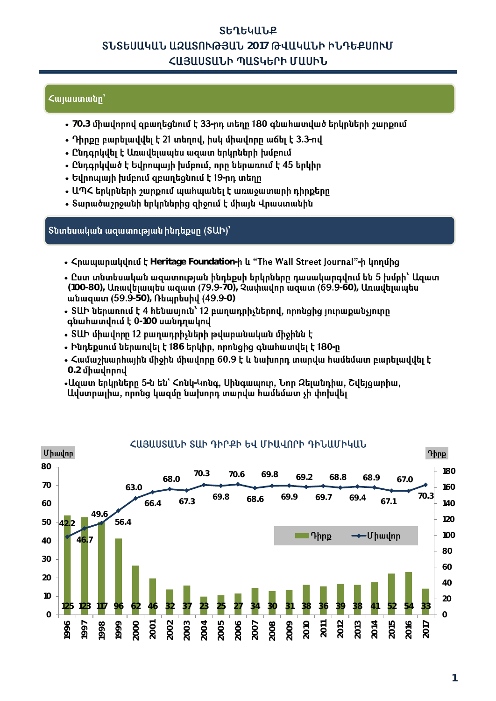# ՏԵՂԵԿԱՆՔ **SUSԵՍԱԿԱՆ ԱԶԱՏՈՒԹՅԱՆ 2017 ԹՎԱԿԱՆԻ ԻՆԴԵՔՍՈՒՄ** ՀԱՅԱՍՏԱՆԻ ՊԱՏԿԵՐԻ ՄԱՍԻՆ

## Հայաստանը՝

- 70.3 միավորով զբաղեցնում է 33-րդ տեղը 180 գնահատված երկրների շարքում
- **-**
- Ընդգրկվել է Առավելապես ազատ երկրների խմբում
- Ընդգրկված է Եվրոպայի խմբում, որը ներառում է 45 երկիր
- **-**
- ԱՊՀ երկրների շարքում պահպանել է առաջատարի դիրքերը
- Տարածաշրջանի երկրներից զիջում է միայն Վրաստանին

## Sնտեսական ազատության ինդեքսը (SUԻ)՝

- $\zeta$ **puuuunuuuunuu k** Heritage Foundation-**h lu "The Wall Street Journal"-h lunnung**
- Ըստ տնտեսական ազատության ինդեքսի երկրները դասակարգվում են 5 խմբի՝ Ազատ (100-80), *Unwubiwwbu wqwm (79.9-70), Qwmwdnn wqwm (69.9-60), Unwuduwatu* **ultuquun (59.9-50), Ռեպրեսիվ (49.9-0)**
- ՏԱԻ ներառում է 4 հենասյուն՝ 12 բաղադրիչներով, որոնցից յուրաքանչյուրը quuhuununuu t 0-100 umunnuunu
- ՏԱԻ միավորը 12 բաղադրիչների թվաբանական միջինն է
- Ինդեքսում ներառվել է 186 երկիր, որոնցից գնահատվել է 180-ը
- $\bullet$  Համաշխարհային միջին միավորը 60.9 է և նախորդ տարվա համեմատ բարելավվել է **0.2**
- **- -**

Ավստրայիա, որոնց կազմը նախորդ տարվա համեմատ չի փոխվել

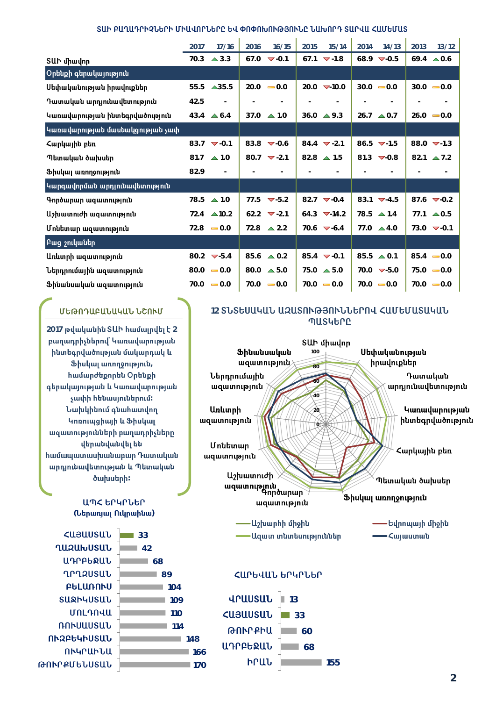#### ՏԱԻ ԲԱՂԱԴՐԻՉՆԵՐԻ ՄԻԱՎՈՐՆԵՐԸ ԵՎ ՓՈՓՈԽՈՒԹՅՈՒՆԸ ՆԱԽՈՐԴ ՏԱՐՎԱ ՀԱՄԵՄԱՏ 'n,  $\mathbf{r}$  $\hat{\mathbf{r}}$

|                                 | 2017 | 17/16                          | 2016                     | 16/15                            | 2015                     | 15/14                            | 2014 | 14/13                          | 2013 | 13/12                    |
|---------------------------------|------|--------------------------------|--------------------------|----------------------------------|--------------------------|----------------------------------|------|--------------------------------|------|--------------------------|
| SUI միավոր                      | 70.3 | $\triangle$ 3.3                | 67.0                     | $\blacktriangledown$ -0.1        | 67.1                     | $\nabla -1.8$                    |      | 68.9 $\nabla$ -0.5             |      | $69.4 \triangle 0.6$     |
| Oրենքի գերակայություն           |      |                                |                          |                                  |                          |                                  |      |                                |      |                          |
| Սեփականության իրավուքներ        | 55.5 | $\triangle$ 35.5               |                          | $20.0 - 0.0$                     |                          | $20.0 \quad \nabla 10.0$         |      | $30.0 - 0.0$                   |      | $30.0 - 0.0$             |
| Դատական արդյունավետություն      | 42.5 | $\sim$                         |                          | $\sim$                           |                          | $\sim$                           |      |                                |      | $\overline{\phantom{a}}$ |
| Կառավարության ինտեգրվածություն  |      | $43.4 \triangle 6.4$           | 37.0                     | $\triangle$ 1.0                  |                          | $36.0 \triangle 9.3$             |      | $26.7 \triangle 0.7$           |      | $26.0 - 0.0$             |
| Կառավարության մասնակցության չափ |      |                                |                          |                                  |                          |                                  |      |                                |      |                          |
| Հարկային բեռ                    |      | $83.7 \quad \nabla -0.1$       |                          | 83.8 $\nabla$ -0.6               |                          | $84.4$ $\blacktriangledown$ -2.1 |      | 86.5 $-1.5$                    |      | 88.0 $-1.3$              |
| Պետական ծախսեր                  | 81.7 | $\triangle$ 1.0                |                          | 80.7 $\blacktriangledown$ -2.1   |                          | 82.8 $\triangle$ 1.5             |      | 81.3 $\nabla$ -0.8             | 82.1 | $\triangle$ 7.2          |
| Ֆիսկալ առողջություն             | 82.9 | $\equiv$                       | $\overline{\phantom{a}}$ | $\overline{\phantom{a}}$         | $\overline{\phantom{a}}$ | $\overline{\phantom{a}}$         |      |                                |      |                          |
| Կարգավորման արդյունավետություն  |      |                                |                          |                                  |                          |                                  |      |                                |      |                          |
| Գործարար ազատություն            | 78.5 | $\triangle$ 1.0                |                          | 77.5 $\blacktriangledown$ -5.2   |                          | $82.7$ $\blacktriangledown$ -0.4 |      | 83.1 $\nabla$ -4.5             |      | 87.6 $\nabla$ -0.2       |
| Աշխատուժի ազատություն           | 72.4 | $\triangle$ 10.2               |                          | $62.2$ $\blacktriangledown$ -2.1 |                          | $64.3$ $\nabla$ -14.2            |      | $78.5 \triangle 1.4$           | 77.1 | $\triangle$ 0.5          |
| Մոնետար ազատություն             | 72.8 | $-0.0$                         | 72.8                     | $\triangle$ 2.2                  |                          | 70.6 $\nabla$ -6.4               |      | 77.0 $\triangle 4.0$           |      | 73.0 $\nabla$ -0.1       |
| <b>Pwg շուկաներ</b>             |      |                                |                          |                                  |                          |                                  |      |                                |      |                          |
| Առևտրի ազատություն              |      | 80.2 $\blacktriangledown$ -5.4 |                          | 85.6 $\triangle 0.2$             |                          | $85.4 \quad \nabla -0.1$         |      | 85.5 $\triangle$ 0.1           |      | $85.4 - 0.0$             |
| Ներդրումային ազատություն        | 80.0 | $= 0.0$                        | 80.0                     | $\triangle$ 5.0                  |                          | $75.0 \triangle 5.0$             |      | 70.0 $\blacktriangledown$ -5.0 |      | $75.0 - 0.0$             |
| Ֆինանսական ազատություն          | 70.0 | $-0.0$                         | 70.0                     | $-0.0$                           |                          | $70.0 - 0.0$                     |      | $70.0 - 0.0$                   |      | $70.0 - 0.0$             |

### 12 ՏՆՏԵՍԱԿԱՆ ԱԶԱՏՈՒԹՅՈՒՆՆԵՐՈՎ ՀԱՄԵՄԱՏԱԿԱՆ **MUSYGLO**



#### ՀԱՐԵՎԱՆ ԵՐԿՐՆԵՐ

| ՎՐԱՍՏԱՆ                           | 13  |
|-----------------------------------|-----|
| <b><u3uusul< b=""></u3uusul<></b> | 33  |
| ԹՈՒՐՔԻԱ                           | 60  |
| ԱԴՐԲԵՋԱՆ                          | 68  |
| ԻՐԱՆ                              | 155 |
|                                   |     |

**<usuusuu ՂԱԶԱԽՍՏԱՆ U**npebrul **ՂՐՂ**2ՍՏԱՆ **PULUANNU** SURMYUSUL **UNLAN4U ՌՈՒՍԱՍՏԱՆ NNAPG4MUSUL** ՈՒԿՐԱԻՆԱ ԹՈՒՐՔՄԵՆՍՏԱՆ

ՄԵԹՈԴԱԲԱՆԱԿԱՆ ՆՇՈՒՄ

2017 թվականին SUh համալրվել է 2 բաղադրիչներով` Կառավարության

ինտեգրվածության մակարդակ և

Ֆիսկալ առողջություն,

համարժեքորեն Օրենքի

գերակայության և Կառավարության

չափի հենասյուներում։ Նախկինում գնահատվող

Կոռուպցիայի և Ֆիսկալ ազատությունների բաղադրիչները վերանվանվել են

համապատասխանաբար Դատական

արդյունավետության և Պետական

ծախսերի։

ԱՊՀ ԵՐԿՐՆԵՐ

(Ներառյալ Ուկրաինա)

|   | 33  |     |
|---|-----|-----|
|   | 42  |     |
|   | 68  |     |
|   | 89  |     |
|   | 104 |     |
|   | 109 |     |
| l | 110 |     |
|   | 114 |     |
| J |     | 148 |
| l |     | 166 |
| j |     | 170 |

 $\overline{2}$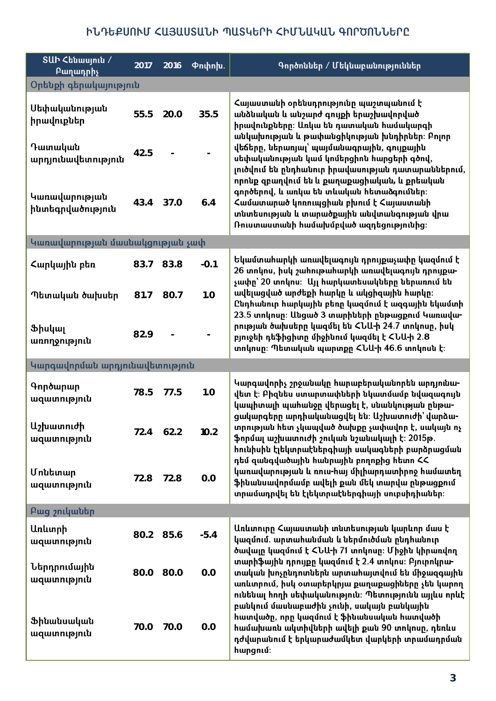# ԻՆԴԵՔՍՈՒՄ ՀԱՅԱՍՏԱՆԻ ՊԱՏԿԵՐԻ ՀԻՄՆԱԿԱՆ ԳՈՐԾՈՆՆԵՐԸ

| SUh<br><i>Chumuniu /</i><br>Բաղադրիչ | 2017 | 2016 | <b>Pnփnխ.</b> | Գործոններ / Մեկնաբանություններ                                                                                                                                                                                                                            |  |  |  |  |
|--------------------------------------|------|------|---------------|-----------------------------------------------------------------------------------------------------------------------------------------------------------------------------------------------------------------------------------------------------------|--|--|--|--|
| Օրենքի գերակայություն                |      |      |               |                                                                                                                                                                                                                                                           |  |  |  |  |
| Սեփականության<br>իրավուքներ          | 55.5 | 20.0 | 35.5          | Հայաստանի օրենսդրությունը պաշտպանում է<br>անձնական և անշարժ գույքի երաշխավորված<br>իրավունքները։ Առկա են դատական համակարգի<br>անկախության և թափանցիկության խնդիրներ։ Բոլոր                                                                                |  |  |  |  |
| Դատական<br>արդյունավետություն        | 42.5 |      |               | վեճերը, ներառյալ՝ պայմանագրային, գույքային<br>սեփականության կամ կոմերցիոն հարցերի գծով,<br>լուծվում են ընդհանուր իրավասության դատարաններում,<br>որոնք զբաղվում են և քաղաքացիական, և քրեական                                                               |  |  |  |  |
| Կառավարության<br>ինտեգրվածություն    | 43.4 | 37.0 | 6.4           | գործերով, և առկա են տևական հետաձգումներ։<br>Համատարած կոռուպցիան բխում է Հայաստանի<br>տնտեսության և տարածքային անվտանգության վրա<br>Ռուստաստանի համախմբված ազդեցությունից։                                                                                |  |  |  |  |
| Կառավարության մասնակցության չափ      |      |      |               |                                                                                                                                                                                                                                                           |  |  |  |  |
| Հարկային բեռ                         | 83.7 | 83.8 | $-0.1$        | Եկամտահարկի առավելագույն դրույքաչափը կազմում է<br>26 տոկոս, իսկ շահութահարկի առավելագույն դրույքա-<br>չափը՝ 20 տոկոս։  Այլ հարկատեսակները ներառում են                                                                                                     |  |  |  |  |
| Պետական ծախսեր                       | 81.7 | 80.7 | 1.0           | ավելացված արժեքի հարկը և ակցիզային հարկը։<br>Ընդհանուր հարկային բեռը կազմում է ազգային եկամտի<br>23.5 տոկոսը։ Անցած 3 տարիների ընթացքում Կառավա-                                                                                                          |  |  |  |  |
| Ֆիսկալ<br>առողջություն               | 82.9 |      |               | րության ծախսերը կազմել են ՀՆԱ-ի 24.7 տոկոսը, իսկ<br>բյուջեի դեֆիցիտը միջինում կազմել է ՀՆԱ-ի 2.8<br>տոկոսը։ Պետական պարտքը ՀՆԱ-ի 46.6 տոկոսն է։                                                                                                           |  |  |  |  |
| Կարգավորման արդյունավետություն       |      |      |               |                                                                                                                                                                                                                                                           |  |  |  |  |
| Գործարար<br>ազատություն              | 78.5 | 77.5 | 1.0           | Կարգավորիչ շրջանակը հարաբերականորեն արդյունա-<br>վետ է։ Բիզնես ստարտափների նկատմամբ նվազագույն<br>կապիտալի պահանջը վերացել է, սնանկության ընթա-                                                                                                           |  |  |  |  |
| Աշխատուժի<br>ազատություն             | 72.4 | 62.2 | 10.2          | ցակարգերը արդիականացվել են։ Աշխատուժի՝ վարձա-<br>տրության հետ չկապված ծախքը չափավոր է, սակայն ոչ<br>ֆորմալ աշխատուժի շուկան նշանակալի է։ 2015թ.<br>հունիսին էլեկտրաէներգիայի սակագների բարձրացման                                                         |  |  |  |  |
| Մոնետար<br>ազատություն               | 72.8 | 72.8 | 0.0           | դեմ զանգվածային հանրային բողոքից հետո ՀՀ<br>կառավարության և ռուս-հայ միլիարդատիրոջ համատեղ<br>ֆինանսավորմամբ ավելի քան մեկ տարվա ընթացքում<br>տրամադրվել են էլեկտրաէներգիայի սուբսիդիաներ։                                                                |  |  |  |  |
| Բաց շուկաներ                         |      |      |               |                                                                                                                                                                                                                                                           |  |  |  |  |
| Առևտրի<br>ազատություն                | 80.2 | 85.6 | $-5.4$        | Առևտուրը Հայաստանի տնտեսության կարևոր մաս է<br>կազմում. արտահանման և ներմուծման ընդհանուր<br>ծավալը կազմում է ՀՆԱ-ի 71 տոկոսը։ Միջին կիրառվող                                                                                                             |  |  |  |  |
| Ներդրումային<br>ազատություն          | 80.0 | 80.0 | 0.0           | տարիֆային դրույքը կազմում է 2.4 տոկոս։ Բյուրոկրա-<br>տական խոչընդոտներն արտահայտվում են միջազգային<br>առևտրում, իսկ օտարերկրյա քաղաքացիները չեն կարող<br>ունենալ հողի սեփականություն։ Պետությունն այլևս որևէ<br>բանկում մասնաբաժին չունի, սակայն բանկային |  |  |  |  |
| Ֆինանսական<br>ազատություն            | 70.0 | 70.0 | 0.0           | հատվածը, որը կազմում է ֆինանսական հատվածի<br>համախառն ակտիվների ավելի քան 90 տոկոսը, դեռևս<br>դժվարանում է երկարաժամկետ վարկերի տրամադրման<br>hարցում։                                                                                                    |  |  |  |  |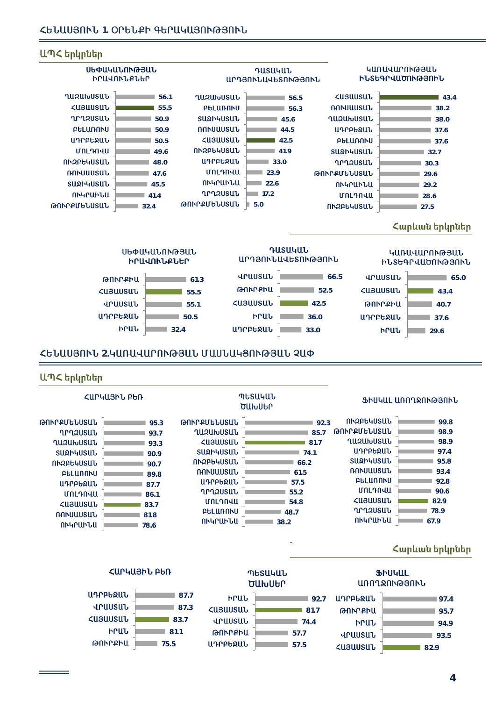